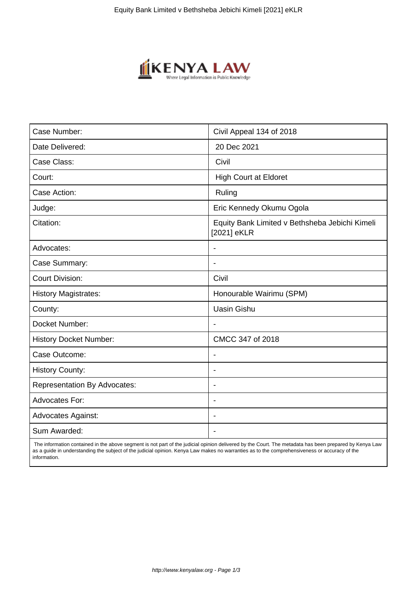

| Case Number:                        | Civil Appeal 134 of 2018                                      |
|-------------------------------------|---------------------------------------------------------------|
| Date Delivered:                     | 20 Dec 2021                                                   |
| Case Class:                         | Civil                                                         |
| Court:                              | <b>High Court at Eldoret</b>                                  |
| Case Action:                        | Ruling                                                        |
| Judge:                              | Eric Kennedy Okumu Ogola                                      |
| Citation:                           | Equity Bank Limited v Bethsheba Jebichi Kimeli<br>[2021] eKLR |
| Advocates:                          |                                                               |
| Case Summary:                       |                                                               |
| <b>Court Division:</b>              | Civil                                                         |
| <b>History Magistrates:</b>         | Honourable Wairimu (SPM)                                      |
| County:                             | <b>Uasin Gishu</b>                                            |
| Docket Number:                      |                                                               |
| <b>History Docket Number:</b>       | CMCC 347 of 2018                                              |
| Case Outcome:                       |                                                               |
| <b>History County:</b>              | $\blacksquare$                                                |
| <b>Representation By Advocates:</b> | $\overline{\phantom{a}}$                                      |
| <b>Advocates For:</b>               | $\overline{\phantom{a}}$                                      |
| <b>Advocates Against:</b>           | $\blacksquare$                                                |
| Sum Awarded:                        |                                                               |

 The information contained in the above segment is not part of the judicial opinion delivered by the Court. The metadata has been prepared by Kenya Law as a guide in understanding the subject of the judicial opinion. Kenya Law makes no warranties as to the comprehensiveness or accuracy of the information.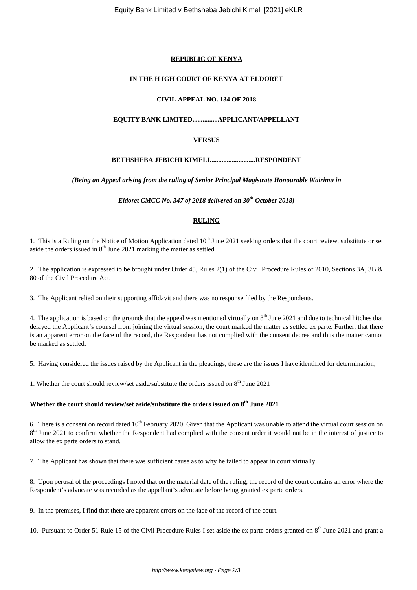## **REPUBLIC OF KENYA**

## **IN THE H IGH COURT OF KENYA AT ELDORET**

## **CIVIL APPEAL NO. 134 OF 2018**

# **EQUITY BANK LIMITED...............APPLICANT/APPELLANT**

## **VERSUS**

## **BETHSHEBA JEBICHI KIMELI...........................RESPONDENT**

#### *(Being an Appeal arising from the ruling of Senior Principal Magistrate Honourable Wairimu in*

*Eldoret CMCC No. 347 of 2018 delivered on 30th October 2018)*

## **RULING**

1. This is a Ruling on the Notice of Motion Application dated 10<sup>th</sup> June 2021 seeking orders that the court review, substitute or set aside the orders issued in  $8<sup>th</sup>$  June 2021 marking the matter as settled.

2. The application is expressed to be brought under Order 45, Rules 2(1) of the Civil Procedure Rules of 2010, Sections 3A, 3B & 80 of the Civil Procedure Act.

3. The Applicant relied on their supporting affidavit and there was no response filed by the Respondents.

4. The application is based on the grounds that the appeal was mentioned virtually on  $8<sup>th</sup>$  June 2021 and due to technical hitches that delayed the Applicant's counsel from joining the virtual session, the court marked the matter as settled ex parte. Further, that there is an apparent error on the face of the record, the Respondent has not complied with the consent decree and thus the matter cannot be marked as settled.

5. Having considered the issues raised by the Applicant in the pleadings, these are the issues I have identified for determination;

1. Whether the court should review/set aside/substitute the orders issued on  $8<sup>th</sup>$  June 2021

# **Whether the court should review/set aside/substitute the orders issued on 8th June 2021**

6. There is a consent on record dated  $10<sup>th</sup>$  February 2020. Given that the Applicant was unable to attend the virtual court session on 8<sup>th</sup> June 2021 to confirm whether the Respondent had complied with the consent order it would not be in the interest of justice to allow the ex parte orders to stand.

7. The Applicant has shown that there was sufficient cause as to why he failed to appear in court virtually.

8. Upon perusal of the proceedings I noted that on the material date of the ruling, the record of the court contains an error where the Respondent's advocate was recorded as the appellant's advocate before being granted ex parte orders.

9. In the premises, I find that there are apparent errors on the face of the record of the court.

10. Pursuant to Order 51 Rule 15 of the Civil Procedure Rules I set aside the ex parte orders granted on  $8<sup>th</sup>$  June 2021 and grant a